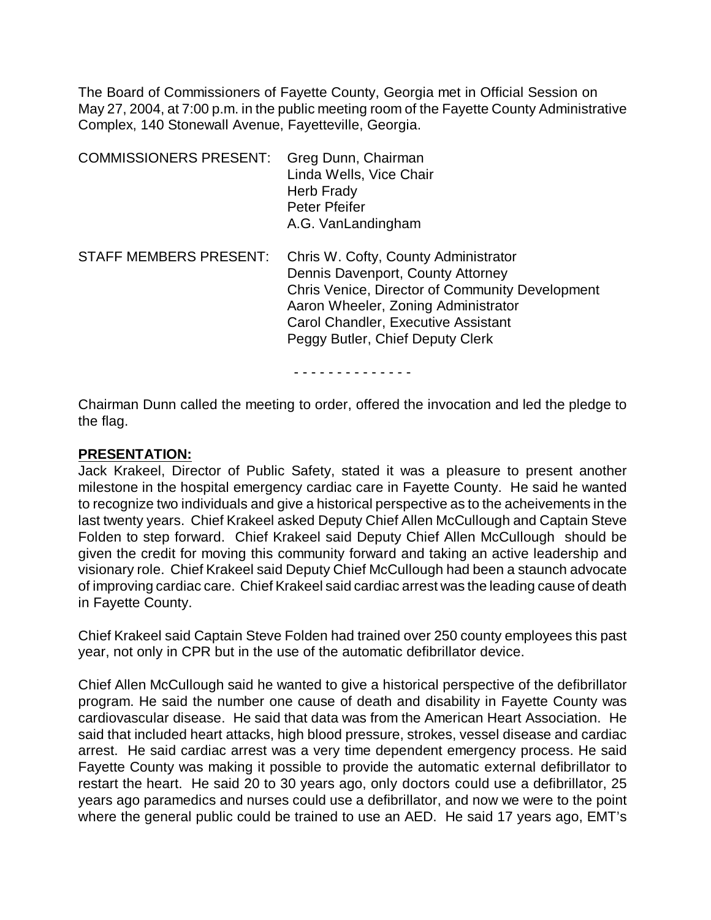The Board of Commissioners of Fayette County, Georgia met in Official Session on May 27, 2004, at 7:00 p.m. in the public meeting room of the Fayette County Administrative Complex, 140 Stonewall Avenue, Fayetteville, Georgia.

| <b>COMMISSIONERS PRESENT:</b> | Greg Dunn, Chairman<br>Linda Wells, Vice Chair<br>Herb Frady<br><b>Peter Pfeifer</b><br>A.G. VanLandingham                                                                                                                                            |
|-------------------------------|-------------------------------------------------------------------------------------------------------------------------------------------------------------------------------------------------------------------------------------------------------|
| <b>STAFF MEMBERS PRESENT:</b> | Chris W. Cofty, County Administrator<br>Dennis Davenport, County Attorney<br><b>Chris Venice, Director of Community Development</b><br>Aaron Wheeler, Zoning Administrator<br>Carol Chandler, Executive Assistant<br>Peggy Butler, Chief Deputy Clerk |

- - - - - - - - - - - - - -

Chairman Dunn called the meeting to order, offered the invocation and led the pledge to the flag.

#### **PRESENTATION:**

Jack Krakeel, Director of Public Safety, stated it was a pleasure to present another milestone in the hospital emergency cardiac care in Fayette County. He said he wanted to recognize two individuals and give a historical perspective as to the acheivements in the last twenty years. Chief Krakeel asked Deputy Chief Allen McCullough and Captain Steve Folden to step forward. Chief Krakeel said Deputy Chief Allen McCullough should be given the credit for moving this community forward and taking an active leadership and visionary role. Chief Krakeel said Deputy Chief McCullough had been a staunch advocate of improving cardiac care. Chief Krakeel said cardiac arrest was the leading cause of death in Fayette County.

Chief Krakeel said Captain Steve Folden had trained over 250 county employees this past year, not only in CPR but in the use of the automatic defibrillator device.

Chief Allen McCullough said he wanted to give a historical perspective of the defibrillator program. He said the number one cause of death and disability in Fayette County was cardiovascular disease. He said that data was from the American Heart Association. He said that included heart attacks, high blood pressure, strokes, vessel disease and cardiac arrest. He said cardiac arrest was a very time dependent emergency process. He said Fayette County was making it possible to provide the automatic external defibrillator to restart the heart. He said 20 to 30 years ago, only doctors could use a defibrillator, 25 years ago paramedics and nurses could use a defibrillator, and now we were to the point where the general public could be trained to use an AED. He said 17 years ago, EMT's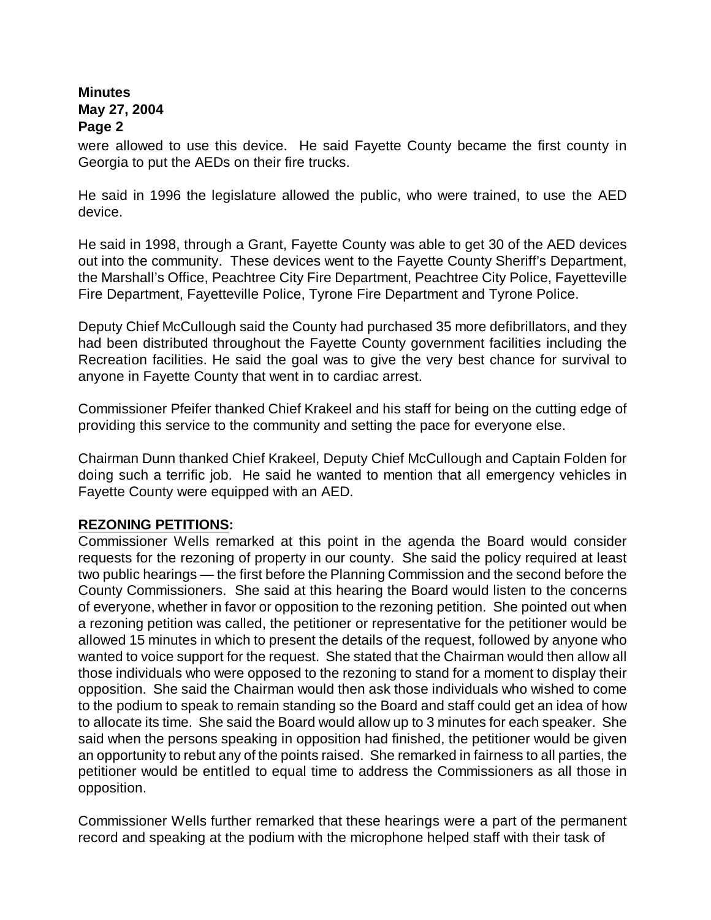were allowed to use this device. He said Fayette County became the first county in Georgia to put the AEDs on their fire trucks.

He said in 1996 the legislature allowed the public, who were trained, to use the AED device.

He said in 1998, through a Grant, Fayette County was able to get 30 of the AED devices out into the community. These devices went to the Fayette County Sheriff's Department, the Marshall's Office, Peachtree City Fire Department, Peachtree City Police, Fayetteville Fire Department, Fayetteville Police, Tyrone Fire Department and Tyrone Police.

Deputy Chief McCullough said the County had purchased 35 more defibrillators, and they had been distributed throughout the Fayette County government facilities including the Recreation facilities. He said the goal was to give the very best chance for survival to anyone in Fayette County that went in to cardiac arrest.

Commissioner Pfeifer thanked Chief Krakeel and his staff for being on the cutting edge of providing this service to the community and setting the pace for everyone else.

Chairman Dunn thanked Chief Krakeel, Deputy Chief McCullough and Captain Folden for doing such a terrific job. He said he wanted to mention that all emergency vehicles in Fayette County were equipped with an AED.

#### **REZONING PETITIONS:**

Commissioner Wells remarked at this point in the agenda the Board would consider requests for the rezoning of property in our county. She said the policy required at least two public hearings — the first before the Planning Commission and the second before the County Commissioners. She said at this hearing the Board would listen to the concerns of everyone, whether in favor or opposition to the rezoning petition. She pointed out when a rezoning petition was called, the petitioner or representative for the petitioner would be allowed 15 minutes in which to present the details of the request, followed by anyone who wanted to voice support for the request. She stated that the Chairman would then allow all those individuals who were opposed to the rezoning to stand for a moment to display their opposition. She said the Chairman would then ask those individuals who wished to come to the podium to speak to remain standing so the Board and staff could get an idea of how to allocate its time. She said the Board would allow up to 3 minutes for each speaker. She said when the persons speaking in opposition had finished, the petitioner would be given an opportunity to rebut any of the points raised. She remarked in fairness to all parties, the petitioner would be entitled to equal time to address the Commissioners as all those in opposition.

Commissioner Wells further remarked that these hearings were a part of the permanent record and speaking at the podium with the microphone helped staff with their task of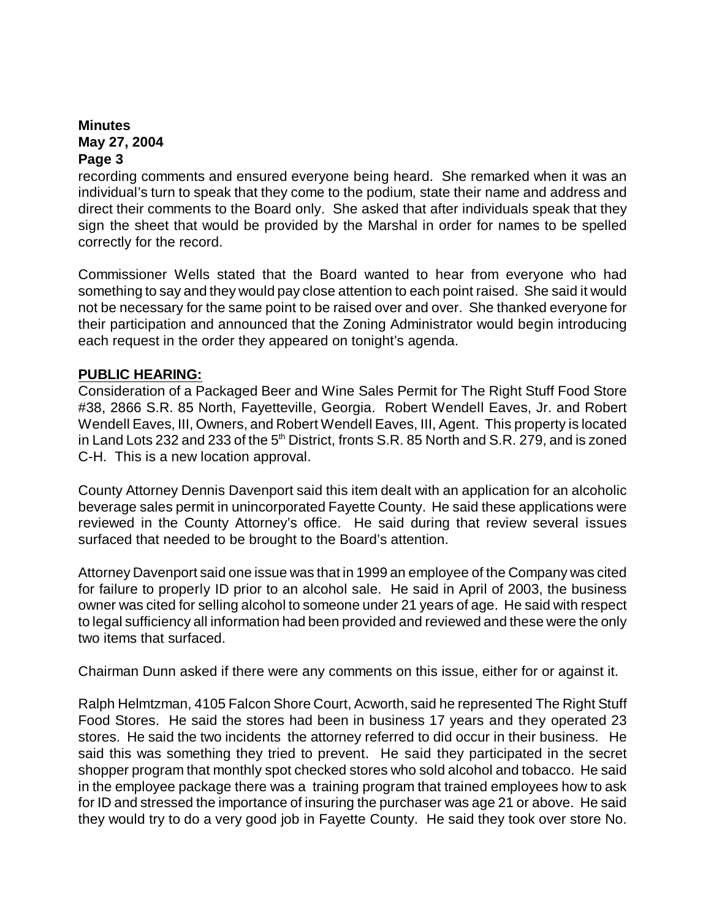recording comments and ensured everyone being heard. She remarked when it was an individual's turn to speak that they come to the podium, state their name and address and direct their comments to the Board only. She asked that after individuals speak that they sign the sheet that would be provided by the Marshal in order for names to be spelled correctly for the record.

Commissioner Wells stated that the Board wanted to hear from everyone who had something to say and they would pay close attention to each point raised. She said it would not be necessary for the same point to be raised over and over. She thanked everyone for their participation and announced that the Zoning Administrator would begin introducing each request in the order they appeared on tonight's agenda.

# **PUBLIC HEARING:**

Consideration of a Packaged Beer and Wine Sales Permit for The Right Stuff Food Store #38, 2866 S.R. 85 North, Fayetteville, Georgia. Robert Wendell Eaves, Jr. and Robert Wendell Eaves, III, Owners, and Robert Wendell Eaves, III, Agent. This property is located in Land Lots 232 and 233 of the  $5<sup>th</sup>$  District, fronts S.R. 85 North and S.R. 279, and is zoned C-H. This is a new location approval.

County Attorney Dennis Davenport said this item dealt with an application for an alcoholic beverage sales permit in unincorporated Fayette County. He said these applications were reviewed in the County Attorney's office. He said during that review several issues surfaced that needed to be brought to the Board's attention.

Attorney Davenport said one issue was that in 1999 an employee of the Company was cited for failure to properly ID prior to an alcohol sale. He said in April of 2003, the business owner was cited for selling alcohol to someone under 21 years of age. He said with respect to legal sufficiency all information had been provided and reviewed and these were the only two items that surfaced.

Chairman Dunn asked if there were any comments on this issue, either for or against it.

Ralph Helmtzman, 4105 Falcon Shore Court, Acworth, said he represented The Right Stuff Food Stores. He said the stores had been in business 17 years and they operated 23 stores. He said the two incidents the attorney referred to did occur in their business. He said this was something they tried to prevent. He said they participated in the secret shopper program that monthly spot checked stores who sold alcohol and tobacco. He said in the employee package there was a training program that trained employees how to ask for ID and stressed the importance of insuring the purchaser was age 21 or above. He said they would try to do a very good job in Fayette County. He said they took over store No.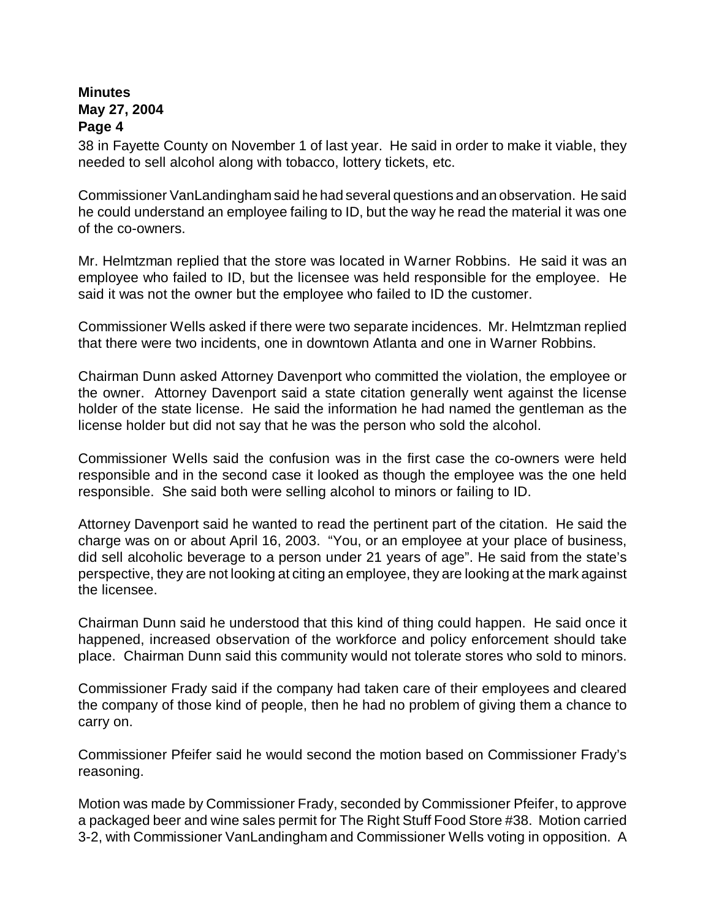38 in Fayette County on November 1 of last year. He said in order to make it viable, they needed to sell alcohol along with tobacco, lottery tickets, etc.

Commissioner VanLandingham said he had several questions and an observation. He said he could understand an employee failing to ID, but the way he read the material it was one of the co-owners.

Mr. Helmtzman replied that the store was located in Warner Robbins. He said it was an employee who failed to ID, but the licensee was held responsible for the employee. He said it was not the owner but the employee who failed to ID the customer.

Commissioner Wells asked if there were two separate incidences. Mr. Helmtzman replied that there were two incidents, one in downtown Atlanta and one in Warner Robbins.

Chairman Dunn asked Attorney Davenport who committed the violation, the employee or the owner. Attorney Davenport said a state citation generally went against the license holder of the state license. He said the information he had named the gentleman as the license holder but did not say that he was the person who sold the alcohol.

Commissioner Wells said the confusion was in the first case the co-owners were held responsible and in the second case it looked as though the employee was the one held responsible. She said both were selling alcohol to minors or failing to ID.

Attorney Davenport said he wanted to read the pertinent part of the citation. He said the charge was on or about April 16, 2003. "You, or an employee at your place of business, did sell alcoholic beverage to a person under 21 years of age". He said from the state's perspective, they are not looking at citing an employee, they are looking at the mark against the licensee.

Chairman Dunn said he understood that this kind of thing could happen. He said once it happened, increased observation of the workforce and policy enforcement should take place. Chairman Dunn said this community would not tolerate stores who sold to minors.

Commissioner Frady said if the company had taken care of their employees and cleared the company of those kind of people, then he had no problem of giving them a chance to carry on.

Commissioner Pfeifer said he would second the motion based on Commissioner Frady's reasoning.

Motion was made by Commissioner Frady, seconded by Commissioner Pfeifer, to approve a packaged beer and wine sales permit for The Right Stuff Food Store #38. Motion carried 3-2, with Commissioner VanLandingham and Commissioner Wells voting in opposition. A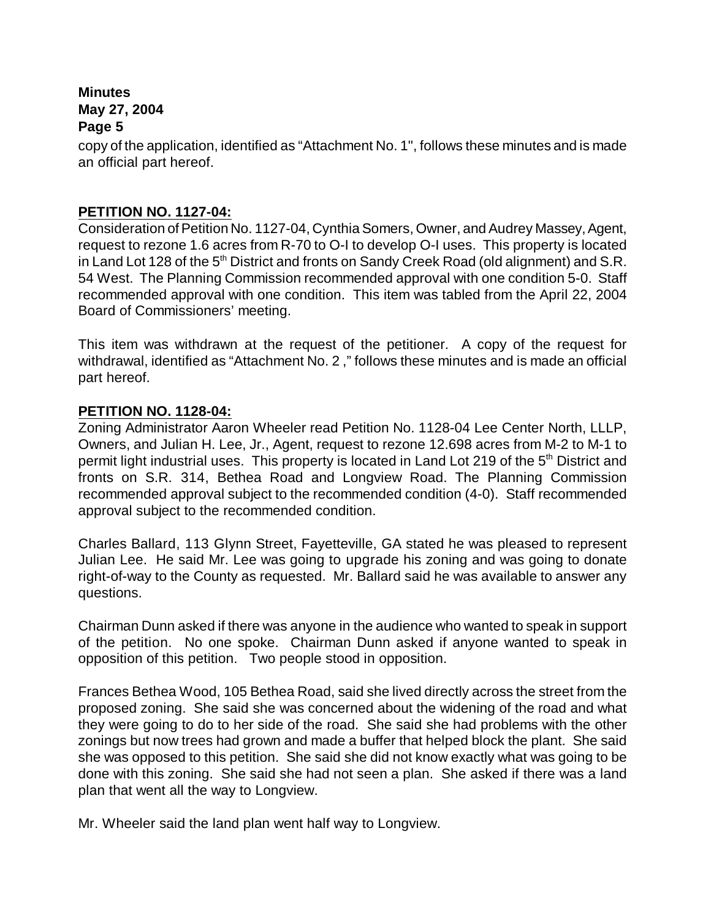copy of the application, identified as "Attachment No. 1", follows these minutes and is made an official part hereof.

#### **PETITION NO. 1127-04:**

Consideration of Petition No. 1127-04, Cynthia Somers, Owner, and Audrey Massey, Agent, request to rezone 1.6 acres from R-70 to O-I to develop O-I uses. This property is located in Land Lot 128 of the 5<sup>th</sup> District and fronts on Sandy Creek Road (old alignment) and S.R. 54 West. The Planning Commission recommended approval with one condition 5-0. Staff recommended approval with one condition. This item was tabled from the April 22, 2004 Board of Commissioners' meeting.

This item was withdrawn at the request of the petitioner. A copy of the request for withdrawal, identified as "Attachment No. 2 ," follows these minutes and is made an official part hereof.

# **PETITION NO. 1128-04:**

Zoning Administrator Aaron Wheeler read Petition No. 1128-04 Lee Center North, LLLP, Owners, and Julian H. Lee, Jr., Agent, request to rezone 12.698 acres from M-2 to M-1 to permit light industrial uses. This property is located in Land Lot 219 of the 5<sup>th</sup> District and fronts on S.R. 314, Bethea Road and Longview Road. The Planning Commission recommended approval subject to the recommended condition (4-0). Staff recommended approval subject to the recommended condition.

Charles Ballard, 113 Glynn Street, Fayetteville, GA stated he was pleased to represent Julian Lee. He said Mr. Lee was going to upgrade his zoning and was going to donate right-of-way to the County as requested. Mr. Ballard said he was available to answer any questions.

Chairman Dunn asked if there was anyone in the audience who wanted to speak in support of the petition. No one spoke. Chairman Dunn asked if anyone wanted to speak in opposition of this petition. Two people stood in opposition.

Frances Bethea Wood, 105 Bethea Road, said she lived directly across the street from the proposed zoning. She said she was concerned about the widening of the road and what they were going to do to her side of the road. She said she had problems with the other zonings but now trees had grown and made a buffer that helped block the plant. She said she was opposed to this petition. She said she did not know exactly what was going to be done with this zoning. She said she had not seen a plan. She asked if there was a land plan that went all the way to Longview.

Mr. Wheeler said the land plan went half way to Longview.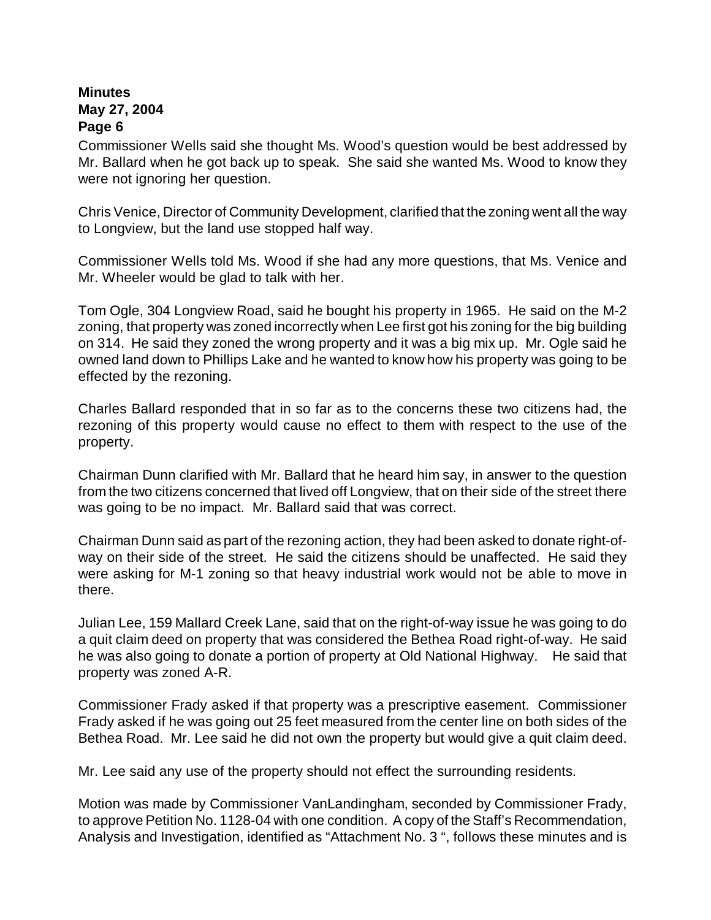Commissioner Wells said she thought Ms. Wood's question would be best addressed by Mr. Ballard when he got back up to speak. She said she wanted Ms. Wood to know they were not ignoring her question.

Chris Venice, Director of Community Development, clarified that the zoning went all the way to Longview, but the land use stopped half way.

Commissioner Wells told Ms. Wood if she had any more questions, that Ms. Venice and Mr. Wheeler would be glad to talk with her.

Tom Ogle, 304 Longview Road, said he bought his property in 1965. He said on the M-2 zoning, that property was zoned incorrectly when Lee first got his zoning for the big building on 314. He said they zoned the wrong property and it was a big mix up. Mr. Ogle said he owned land down to Phillips Lake and he wanted to know how his property was going to be effected by the rezoning.

Charles Ballard responded that in so far as to the concerns these two citizens had, the rezoning of this property would cause no effect to them with respect to the use of the property.

Chairman Dunn clarified with Mr. Ballard that he heard him say, in answer to the question from the two citizens concerned that lived off Longview, that on their side of the street there was going to be no impact. Mr. Ballard said that was correct.

Chairman Dunn said as part of the rezoning action, they had been asked to donate right-ofway on their side of the street. He said the citizens should be unaffected. He said they were asking for M-1 zoning so that heavy industrial work would not be able to move in there.

Julian Lee, 159 Mallard Creek Lane, said that on the right-of-way issue he was going to do a quit claim deed on property that was considered the Bethea Road right-of-way. He said he was also going to donate a portion of property at Old National Highway. He said that property was zoned A-R.

Commissioner Frady asked if that property was a prescriptive easement. Commissioner Frady asked if he was going out 25 feet measured from the center line on both sides of the Bethea Road. Mr. Lee said he did not own the property but would give a quit claim deed.

Mr. Lee said any use of the property should not effect the surrounding residents.

Motion was made by Commissioner VanLandingham, seconded by Commissioner Frady, to approve Petition No. 1128-04 with one condition. A copy of the Staff's Recommendation, Analysis and Investigation, identified as "Attachment No. 3 ", follows these minutes and is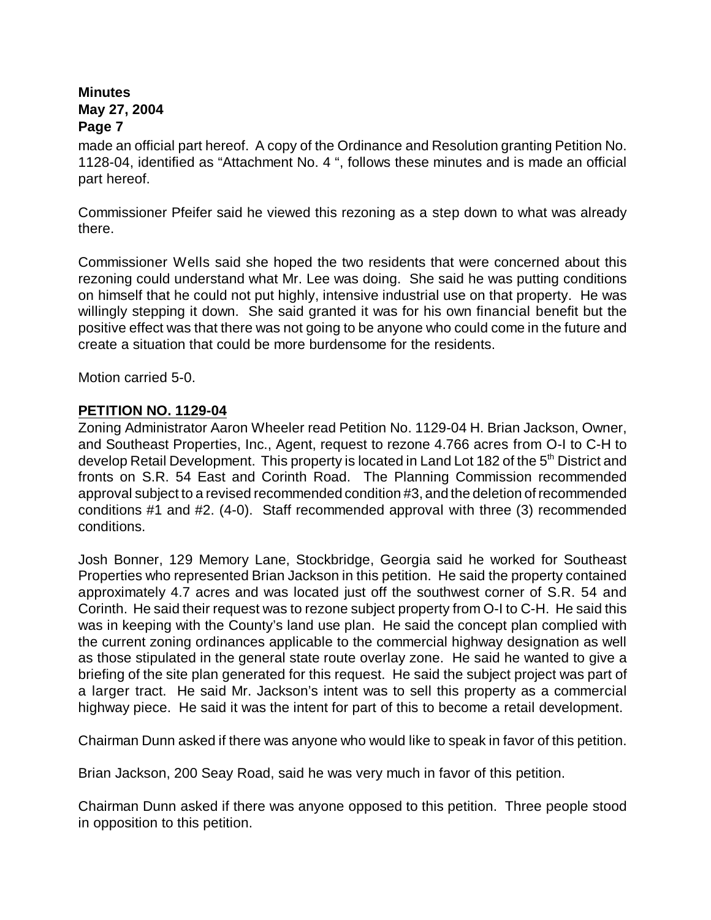made an official part hereof. A copy of the Ordinance and Resolution granting Petition No. 1128-04, identified as "Attachment No. 4 ", follows these minutes and is made an official part hereof.

Commissioner Pfeifer said he viewed this rezoning as a step down to what was already there.

Commissioner Wells said she hoped the two residents that were concerned about this rezoning could understand what Mr. Lee was doing. She said he was putting conditions on himself that he could not put highly, intensive industrial use on that property. He was willingly stepping it down. She said granted it was for his own financial benefit but the positive effect was that there was not going to be anyone who could come in the future and create a situation that could be more burdensome for the residents.

Motion carried 5-0.

# **PETITION NO. 1129-04**

Zoning Administrator Aaron Wheeler read Petition No. 1129-04 H. Brian Jackson, Owner, and Southeast Properties, Inc., Agent, request to rezone 4.766 acres from O-I to C-H to develop Retail Development. This property is located in Land Lot 182 of the 5<sup>th</sup> District and fronts on S.R. 54 East and Corinth Road. The Planning Commission recommended approval subject to a revised recommended condition #3, and the deletion of recommended conditions #1 and #2. (4-0). Staff recommended approval with three (3) recommended conditions.

Josh Bonner, 129 Memory Lane, Stockbridge, Georgia said he worked for Southeast Properties who represented Brian Jackson in this petition. He said the property contained approximately 4.7 acres and was located just off the southwest corner of S.R. 54 and Corinth. He said their request was to rezone subject property from O-I to C-H. He said this was in keeping with the County's land use plan. He said the concept plan complied with the current zoning ordinances applicable to the commercial highway designation as well as those stipulated in the general state route overlay zone. He said he wanted to give a briefing of the site plan generated for this request. He said the subject project was part of a larger tract. He said Mr. Jackson's intent was to sell this property as a commercial highway piece. He said it was the intent for part of this to become a retail development.

Chairman Dunn asked if there was anyone who would like to speak in favor of this petition.

Brian Jackson, 200 Seay Road, said he was very much in favor of this petition.

Chairman Dunn asked if there was anyone opposed to this petition. Three people stood in opposition to this petition.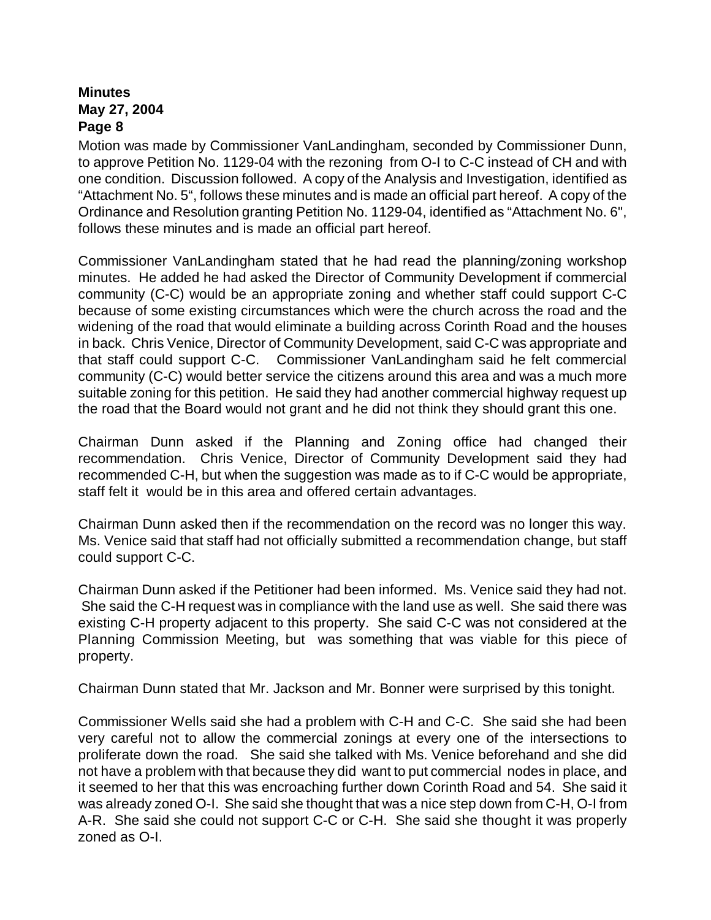Motion was made by Commissioner VanLandingham, seconded by Commissioner Dunn, to approve Petition No. 1129-04 with the rezoning from O-I to C-C instead of CH and with one condition. Discussion followed. A copy of the Analysis and Investigation, identified as "Attachment No. 5", follows these minutes and is made an official part hereof. A copy of the Ordinance and Resolution granting Petition No. 1129-04, identified as "Attachment No. 6", follows these minutes and is made an official part hereof.

Commissioner VanLandingham stated that he had read the planning/zoning workshop minutes. He added he had asked the Director of Community Development if commercial community (C-C) would be an appropriate zoning and whether staff could support C-C because of some existing circumstances which were the church across the road and the widening of the road that would eliminate a building across Corinth Road and the houses in back. Chris Venice, Director of Community Development, said C-C was appropriate and that staff could support C-C. Commissioner VanLandingham said he felt commercial community (C-C) would better service the citizens around this area and was a much more suitable zoning for this petition. He said they had another commercial highway request up the road that the Board would not grant and he did not think they should grant this one.

Chairman Dunn asked if the Planning and Zoning office had changed their recommendation. Chris Venice, Director of Community Development said they had recommended C-H, but when the suggestion was made as to if C-C would be appropriate, staff felt it would be in this area and offered certain advantages.

Chairman Dunn asked then if the recommendation on the record was no longer this way. Ms. Venice said that staff had not officially submitted a recommendation change, but staff could support C-C.

Chairman Dunn asked if the Petitioner had been informed. Ms. Venice said they had not. She said the C-H request was in compliance with the land use as well. She said there was existing C-H property adjacent to this property. She said C-C was not considered at the Planning Commission Meeting, but was something that was viable for this piece of property.

Chairman Dunn stated that Mr. Jackson and Mr. Bonner were surprised by this tonight.

Commissioner Wells said she had a problem with C-H and C-C. She said she had been very careful not to allow the commercial zonings at every one of the intersections to proliferate down the road. She said she talked with Ms. Venice beforehand and she did not have a problem with that because they did want to put commercial nodes in place, and it seemed to her that this was encroaching further down Corinth Road and 54. She said it was already zoned O-I. She said she thought that was a nice step down from C-H, O-I from A-R. She said she could not support C-C or C-H. She said she thought it was properly zoned as O-I.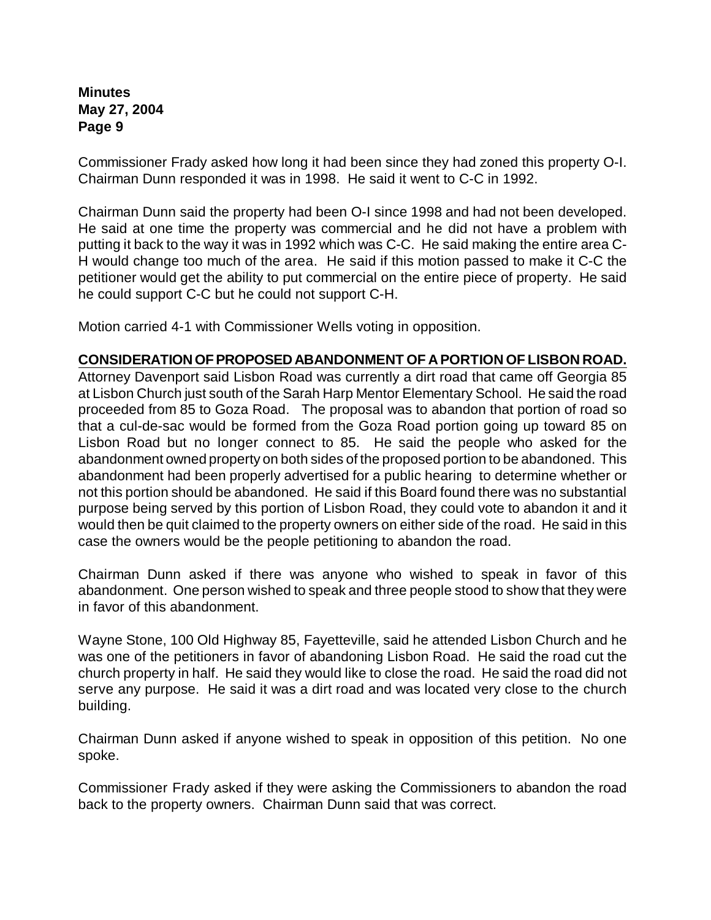Commissioner Frady asked how long it had been since they had zoned this property O-I. Chairman Dunn responded it was in 1998. He said it went to C-C in 1992.

Chairman Dunn said the property had been O-I since 1998 and had not been developed. He said at one time the property was commercial and he did not have a problem with putting it back to the way it was in 1992 which was C-C. He said making the entire area C-H would change too much of the area. He said if this motion passed to make it C-C the petitioner would get the ability to put commercial on the entire piece of property. He said he could support C-C but he could not support C-H.

Motion carried 4-1 with Commissioner Wells voting in opposition.

#### **CONSIDERATION OF PROPOSED ABANDONMENT OF A PORTION OF LISBON ROAD.**

Attorney Davenport said Lisbon Road was currently a dirt road that came off Georgia 85 at Lisbon Church just south of the Sarah Harp Mentor Elementary School. He said the road proceeded from 85 to Goza Road. The proposal was to abandon that portion of road so that a cul-de-sac would be formed from the Goza Road portion going up toward 85 on Lisbon Road but no longer connect to 85. He said the people who asked for the abandonment owned property on both sides of the proposed portion to be abandoned. This abandonment had been properly advertised for a public hearing to determine whether or not this portion should be abandoned. He said if this Board found there was no substantial purpose being served by this portion of Lisbon Road, they could vote to abandon it and it would then be quit claimed to the property owners on either side of the road. He said in this case the owners would be the people petitioning to abandon the road.

Chairman Dunn asked if there was anyone who wished to speak in favor of this abandonment. One person wished to speak and three people stood to show that they were in favor of this abandonment.

Wayne Stone, 100 Old Highway 85, Fayetteville, said he attended Lisbon Church and he was one of the petitioners in favor of abandoning Lisbon Road. He said the road cut the church property in half. He said they would like to close the road. He said the road did not serve any purpose. He said it was a dirt road and was located very close to the church building.

Chairman Dunn asked if anyone wished to speak in opposition of this petition. No one spoke.

Commissioner Frady asked if they were asking the Commissioners to abandon the road back to the property owners. Chairman Dunn said that was correct.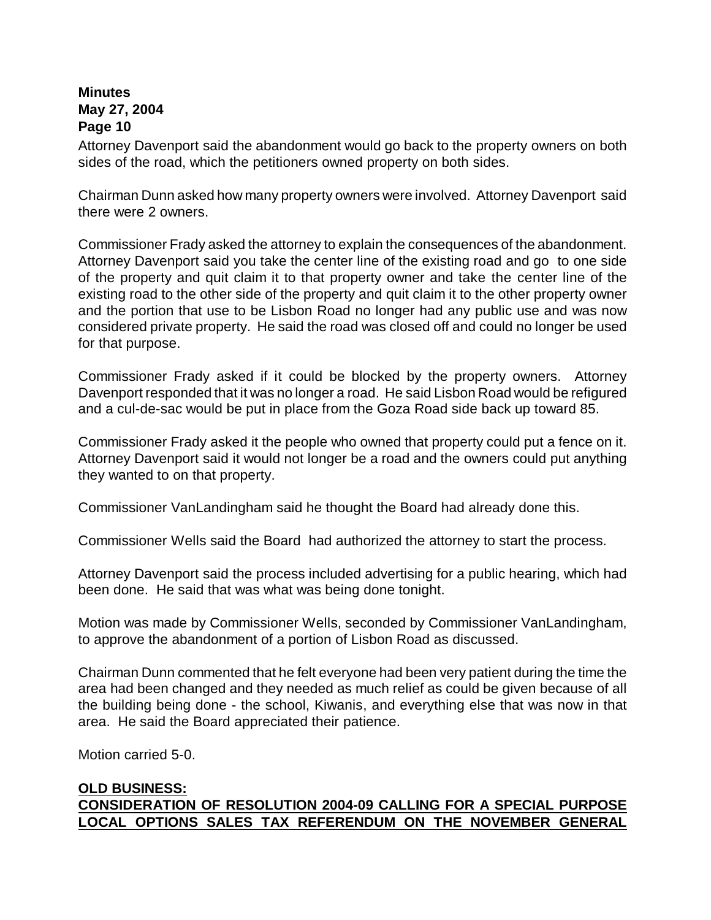Attorney Davenport said the abandonment would go back to the property owners on both sides of the road, which the petitioners owned property on both sides.

Chairman Dunn asked how many property owners were involved. Attorney Davenport said there were 2 owners.

Commissioner Frady asked the attorney to explain the consequences of the abandonment. Attorney Davenport said you take the center line of the existing road and go to one side of the property and quit claim it to that property owner and take the center line of the existing road to the other side of the property and quit claim it to the other property owner and the portion that use to be Lisbon Road no longer had any public use and was now considered private property. He said the road was closed off and could no longer be used for that purpose.

Commissioner Frady asked if it could be blocked by the property owners. Attorney Davenport responded that it was no longer a road. He said Lisbon Road would be refigured and a cul-de-sac would be put in place from the Goza Road side back up toward 85.

Commissioner Frady asked it the people who owned that property could put a fence on it. Attorney Davenport said it would not longer be a road and the owners could put anything they wanted to on that property.

Commissioner VanLandingham said he thought the Board had already done this.

Commissioner Wells said the Board had authorized the attorney to start the process.

Attorney Davenport said the process included advertising for a public hearing, which had been done. He said that was what was being done tonight.

Motion was made by Commissioner Wells, seconded by Commissioner VanLandingham, to approve the abandonment of a portion of Lisbon Road as discussed.

Chairman Dunn commented that he felt everyone had been very patient during the time the area had been changed and they needed as much relief as could be given because of all the building being done - the school, Kiwanis, and everything else that was now in that area. He said the Board appreciated their patience.

Motion carried 5-0.

#### **OLD BUSINESS: CONSIDERATION OF RESOLUTION 2004-09 CALLING FOR A SPECIAL PURPOSE LOCAL OPTIONS SALES TAX REFERENDUM ON THE NOVEMBER GENERAL**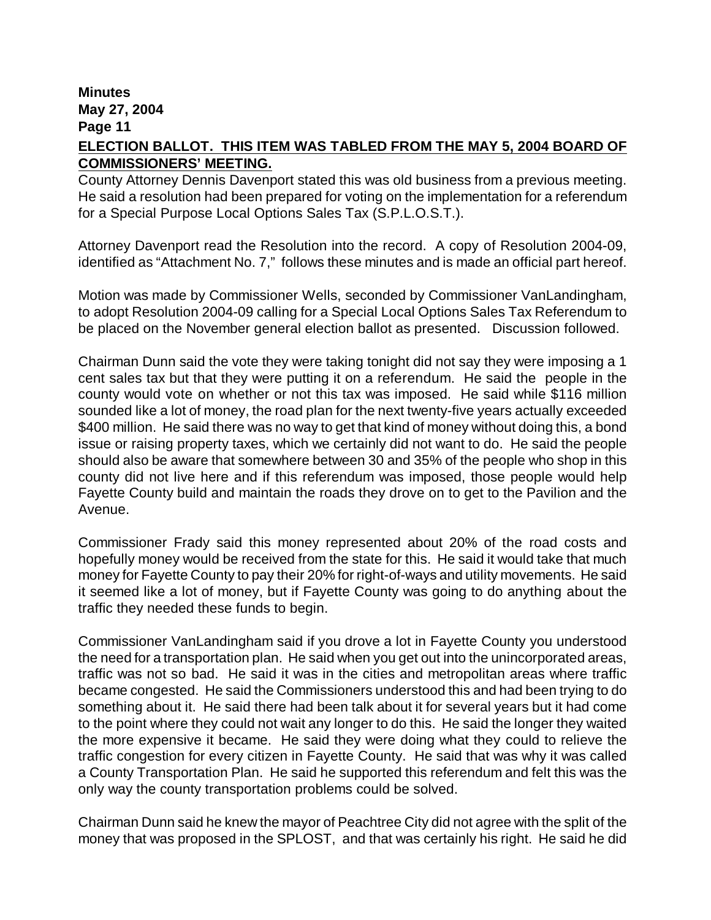# **ELECTION BALLOT. THIS ITEM WAS TABLED FROM THE MAY 5, 2004 BOARD OF COMMISSIONERS' MEETING.**

County Attorney Dennis Davenport stated this was old business from a previous meeting. He said a resolution had been prepared for voting on the implementation for a referendum for a Special Purpose Local Options Sales Tax (S.P.L.O.S.T.).

Attorney Davenport read the Resolution into the record. A copy of Resolution 2004-09, identified as "Attachment No. 7," follows these minutes and is made an official part hereof.

Motion was made by Commissioner Wells, seconded by Commissioner VanLandingham, to adopt Resolution 2004-09 calling for a Special Local Options Sales Tax Referendum to be placed on the November general election ballot as presented. Discussion followed.

Chairman Dunn said the vote they were taking tonight did not say they were imposing a 1 cent sales tax but that they were putting it on a referendum. He said the people in the county would vote on whether or not this tax was imposed. He said while \$116 million sounded like a lot of money, the road plan for the next twenty-five years actually exceeded \$400 million. He said there was no way to get that kind of money without doing this, a bond issue or raising property taxes, which we certainly did not want to do. He said the people should also be aware that somewhere between 30 and 35% of the people who shop in this county did not live here and if this referendum was imposed, those people would help Fayette County build and maintain the roads they drove on to get to the Pavilion and the Avenue.

Commissioner Frady said this money represented about 20% of the road costs and hopefully money would be received from the state for this. He said it would take that much money for Fayette County to pay their 20% for right-of-ways and utility movements. He said it seemed like a lot of money, but if Fayette County was going to do anything about the traffic they needed these funds to begin.

Commissioner VanLandingham said if you drove a lot in Fayette County you understood the need for a transportation plan. He said when you get out into the unincorporated areas, traffic was not so bad. He said it was in the cities and metropolitan areas where traffic became congested. He said the Commissioners understood this and had been trying to do something about it. He said there had been talk about it for several years but it had come to the point where they could not wait any longer to do this. He said the longer they waited the more expensive it became. He said they were doing what they could to relieve the traffic congestion for every citizen in Fayette County. He said that was why it was called a County Transportation Plan. He said he supported this referendum and felt this was the only way the county transportation problems could be solved.

Chairman Dunn said he knew the mayor of Peachtree City did not agree with the split of the money that was proposed in the SPLOST, and that was certainly his right. He said he did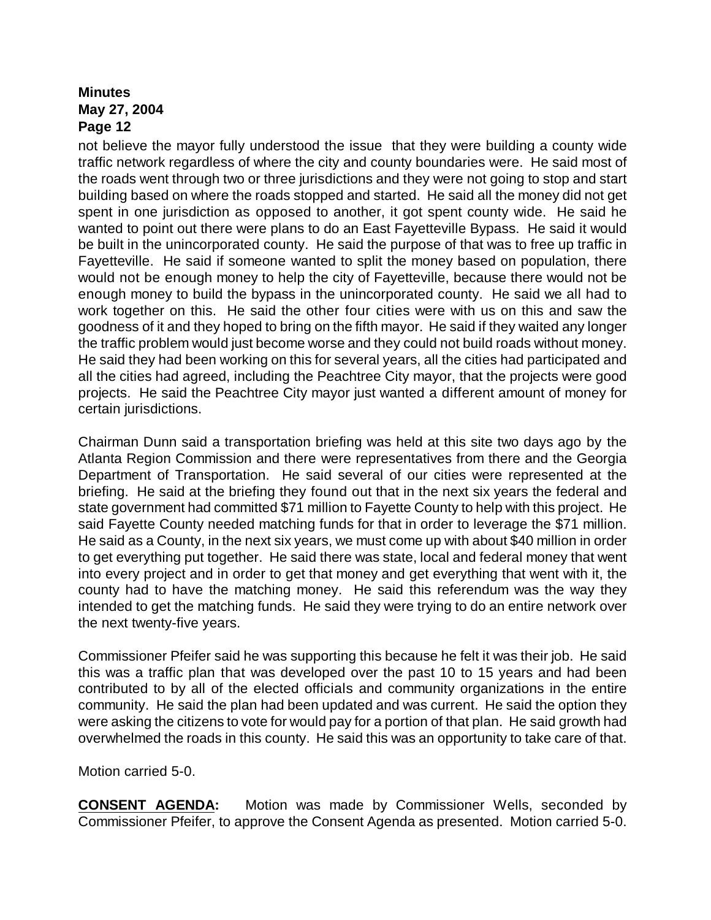not believe the mayor fully understood the issue that they were building a county wide traffic network regardless of where the city and county boundaries were. He said most of the roads went through two or three jurisdictions and they were not going to stop and start building based on where the roads stopped and started. He said all the money did not get spent in one jurisdiction as opposed to another, it got spent county wide. He said he wanted to point out there were plans to do an East Fayetteville Bypass. He said it would be built in the unincorporated county. He said the purpose of that was to free up traffic in Fayetteville. He said if someone wanted to split the money based on population, there would not be enough money to help the city of Fayetteville, because there would not be enough money to build the bypass in the unincorporated county. He said we all had to work together on this. He said the other four cities were with us on this and saw the goodness of it and they hoped to bring on the fifth mayor. He said if they waited any longer the traffic problem would just become worse and they could not build roads without money. He said they had been working on this for several years, all the cities had participated and all the cities had agreed, including the Peachtree City mayor, that the projects were good projects. He said the Peachtree City mayor just wanted a different amount of money for certain jurisdictions.

Chairman Dunn said a transportation briefing was held at this site two days ago by the Atlanta Region Commission and there were representatives from there and the Georgia Department of Transportation. He said several of our cities were represented at the briefing. He said at the briefing they found out that in the next six years the federal and state government had committed \$71 million to Fayette County to help with this project. He said Fayette County needed matching funds for that in order to leverage the \$71 million. He said as a County, in the next six years, we must come up with about \$40 million in order to get everything put together. He said there was state, local and federal money that went into every project and in order to get that money and get everything that went with it, the county had to have the matching money. He said this referendum was the way they intended to get the matching funds. He said they were trying to do an entire network over the next twenty-five years.

Commissioner Pfeifer said he was supporting this because he felt it was their job. He said this was a traffic plan that was developed over the past 10 to 15 years and had been contributed to by all of the elected officials and community organizations in the entire community. He said the plan had been updated and was current. He said the option they were asking the citizens to vote for would pay for a portion of that plan. He said growth had overwhelmed the roads in this county. He said this was an opportunity to take care of that.

Motion carried 5-0.

**CONSENT AGENDA:** Motion was made by Commissioner Wells, seconded by Commissioner Pfeifer, to approve the Consent Agenda as presented. Motion carried 5-0.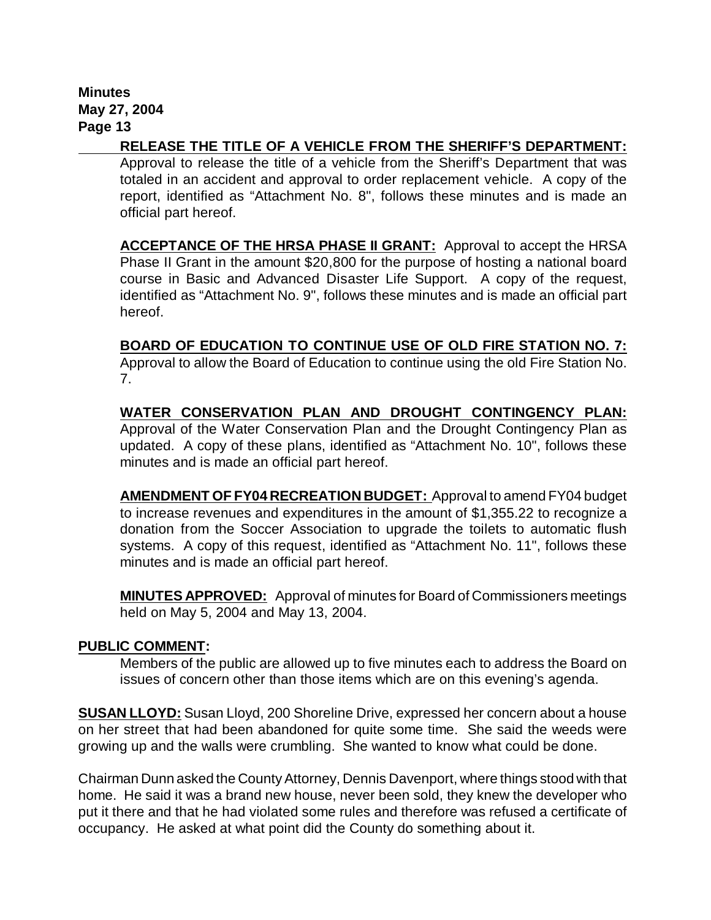**RELEASE THE TITLE OF A VEHICLE FROM THE SHERIFF'S DEPARTMENT:**

Approval to release the title of a vehicle from the Sheriff's Department that was totaled in an accident and approval to order replacement vehicle. A copy of the report, identified as "Attachment No. 8", follows these minutes and is made an official part hereof.

**ACCEPTANCE OF THE HRSA PHASE II GRANT:** Approval to accept the HRSA Phase II Grant in the amount \$20,800 for the purpose of hosting a national board course in Basic and Advanced Disaster Life Support.A copy of the request, identified as "Attachment No. 9", follows these minutes and is made an official part hereof.

**BOARD OF EDUCATION TO CONTINUE USE OF OLD FIRE STATION NO. 7:** Approval to allow the Board of Education to continue using the old Fire Station No. 7.

**WATER CONSERVATION PLAN AND DROUGHT CONTINGENCY PLAN:** Approval of the Water Conservation Plan and the Drought Contingency Plan as updated.A copy of these plans, identified as "Attachment No. 10", follows these minutes and is made an official part hereof.

**AMENDMENT OF FY04 RECREATION BUDGET:** Approval to amend FY04 budget to increase revenues and expenditures in the amount of \$1,355.22 to recognize a donation from the Soccer Association to upgrade the toilets to automatic flush systems. A copy of this request, identified as "Attachment No. 11", follows these minutes and is made an official part hereof.

**MINUTES APPROVED:** Approval of minutes for Board of Commissioners meetings held on May 5, 2004 and May 13, 2004.

#### **PUBLIC COMMENT:**

Members of the public are allowed up to five minutes each to address the Board on issues of concern other than those items which are on this evening's agenda.

**SUSAN LLOYD:** Susan Lloyd, 200 Shoreline Drive, expressed her concern about a house on her street that had been abandoned for quite some time. She said the weeds were growing up and the walls were crumbling. She wanted to know what could be done.

Chairman Dunn asked the County Attorney, Dennis Davenport, where things stood with that home. He said it was a brand new house, never been sold, they knew the developer who put it there and that he had violated some rules and therefore was refused a certificate of occupancy. He asked at what point did the County do something about it.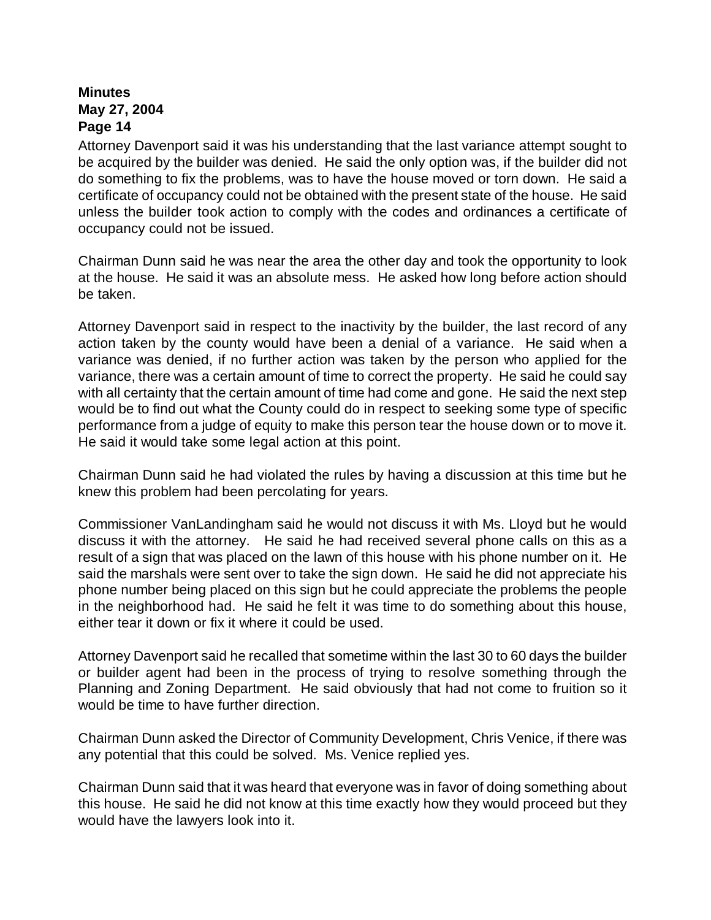Attorney Davenport said it was his understanding that the last variance attempt sought to be acquired by the builder was denied. He said the only option was, if the builder did not do something to fix the problems, was to have the house moved or torn down. He said a certificate of occupancy could not be obtained with the present state of the house. He said unless the builder took action to comply with the codes and ordinances a certificate of occupancy could not be issued.

Chairman Dunn said he was near the area the other day and took the opportunity to look at the house. He said it was an absolute mess. He asked how long before action should be taken.

Attorney Davenport said in respect to the inactivity by the builder, the last record of any action taken by the county would have been a denial of a variance. He said when a variance was denied, if no further action was taken by the person who applied for the variance, there was a certain amount of time to correct the property. He said he could say with all certainty that the certain amount of time had come and gone. He said the next step would be to find out what the County could do in respect to seeking some type of specific performance from a judge of equity to make this person tear the house down or to move it. He said it would take some legal action at this point.

Chairman Dunn said he had violated the rules by having a discussion at this time but he knew this problem had been percolating for years.

Commissioner VanLandingham said he would not discuss it with Ms. Lloyd but he would discuss it with the attorney. He said he had received several phone calls on this as a result of a sign that was placed on the lawn of this house with his phone number on it. He said the marshals were sent over to take the sign down. He said he did not appreciate his phone number being placed on this sign but he could appreciate the problems the people in the neighborhood had. He said he felt it was time to do something about this house, either tear it down or fix it where it could be used.

Attorney Davenport said he recalled that sometime within the last 30 to 60 days the builder or builder agent had been in the process of trying to resolve something through the Planning and Zoning Department. He said obviously that had not come to fruition so it would be time to have further direction.

Chairman Dunn asked the Director of Community Development, Chris Venice, if there was any potential that this could be solved. Ms. Venice replied yes.

Chairman Dunn said that it was heard that everyone was in favor of doing something about this house. He said he did not know at this time exactly how they would proceed but they would have the lawyers look into it.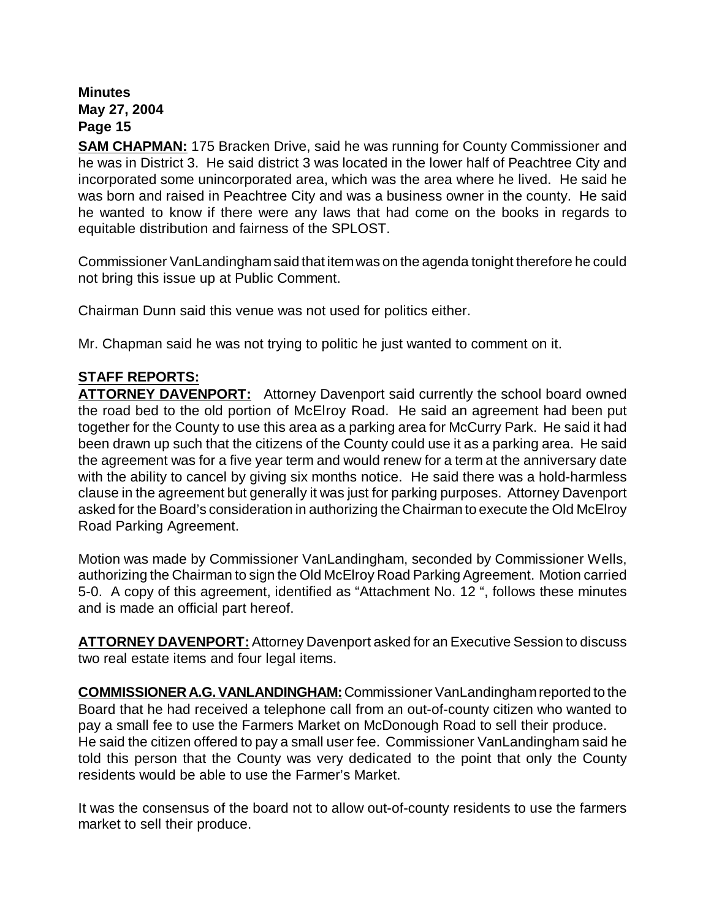**SAM CHAPMAN:** 175 Bracken Drive, said he was running for County Commissioner and he was in District 3. He said district 3 was located in the lower half of Peachtree City and incorporated some unincorporated area, which was the area where he lived. He said he was born and raised in Peachtree City and was a business owner in the county. He said he wanted to know if there were any laws that had come on the books in regards to equitable distribution and fairness of the SPLOST.

Commissioner VanLandinghamsaid that itemwas on the agenda tonight therefore he could not bring this issue up at Public Comment.

Chairman Dunn said this venue was not used for politics either.

Mr. Chapman said he was not trying to politic he just wanted to comment on it.

# **STAFF REPORTS:**

**ATTORNEY DAVENPORT:** Attorney Davenport said currently the school board owned the road bed to the old portion of McElroy Road. He said an agreement had been put together for the County to use this area as a parking area for McCurry Park. He said it had been drawn up such that the citizens of the County could use it as a parking area. He said the agreement was for a five year term and would renew for a term at the anniversary date with the ability to cancel by giving six months notice. He said there was a hold-harmless clause in the agreement but generally it was just for parking purposes. Attorney Davenport asked for the Board's consideration in authorizing the Chairman to execute the Old McElroy Road Parking Agreement.

Motion was made by Commissioner VanLandingham, seconded by Commissioner Wells, authorizing the Chairman to sign the Old McElroy Road Parking Agreement. Motion carried 5-0. A copy of this agreement, identified as "Attachment No. 12 ", follows these minutes and is made an official part hereof.

**ATTORNEY DAVENPORT:**Attorney Davenport asked for an Executive Session to discuss two real estate items and four legal items.

**COMMISSIONER A.G. VANLANDINGHAM:** Commissioner VanLandingham reported to the Board that he had received a telephone call from an out-of-county citizen who wanted to pay a small fee to use the Farmers Market on McDonough Road to sell their produce. He said the citizen offered to pay a small user fee. Commissioner VanLandingham said he told this person that the County was very dedicated to the point that only the County residents would be able to use the Farmer's Market.

It was the consensus of the board not to allow out-of-county residents to use the farmers market to sell their produce.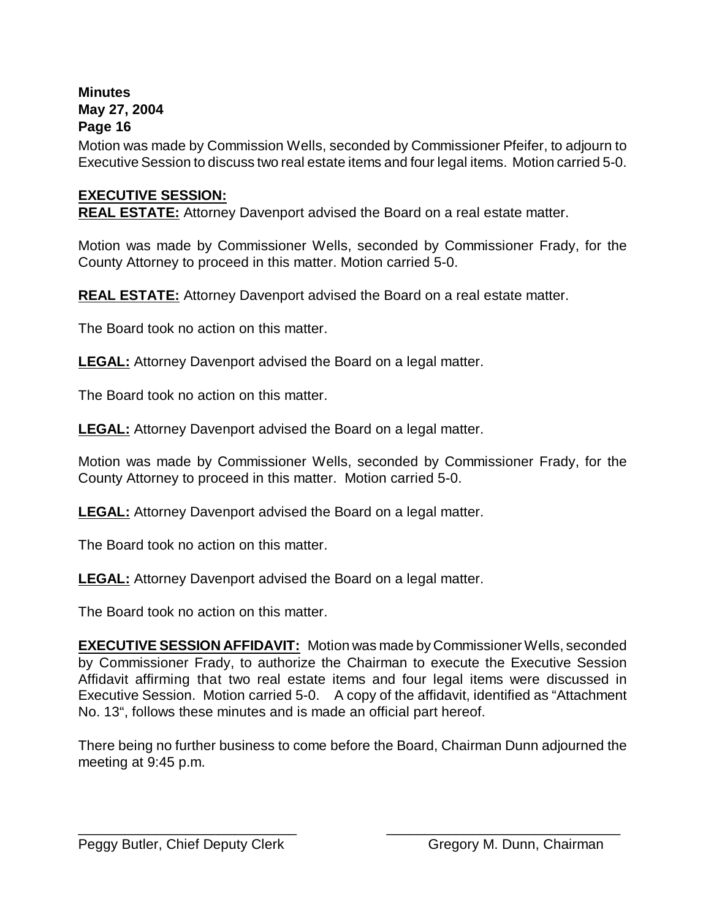Motion was made by Commission Wells, seconded by Commissioner Pfeifer, to adjourn to Executive Session to discuss two real estate items and four legal items. Motion carried 5-0.

# **EXECUTIVE SESSION:**

**REAL ESTATE:** Attorney Davenport advised the Board on a real estate matter.

Motion was made by Commissioner Wells, seconded by Commissioner Frady, for the County Attorney to proceed in this matter. Motion carried 5-0.

**REAL ESTATE:** Attorney Davenport advised the Board on a real estate matter.

The Board took no action on this matter.

**LEGAL:** Attorney Davenport advised the Board on a legal matter.

The Board took no action on this matter.

**LEGAL:** Attorney Davenport advised the Board on a legal matter.

Motion was made by Commissioner Wells, seconded by Commissioner Frady, for the County Attorney to proceed in this matter. Motion carried 5-0.

**LEGAL:** Attorney Davenport advised the Board on a legal matter.

The Board took no action on this matter.

**LEGAL:** Attorney Davenport advised the Board on a legal matter.

The Board took no action on this matter.

**EXECUTIVE SESSION AFFIDAVIT:** Motion was made by Commissioner Wells, seconded by Commissioner Frady, to authorize the Chairman to execute the Executive Session Affidavit affirming that two real estate items and four legal items were discussed in Executive Session. Motion carried 5-0. A copy of the affidavit, identified as "Attachment No. 13", follows these minutes and is made an official part hereof.

There being no further business to come before the Board, Chairman Dunn adjourned the meeting at 9:45 p.m.